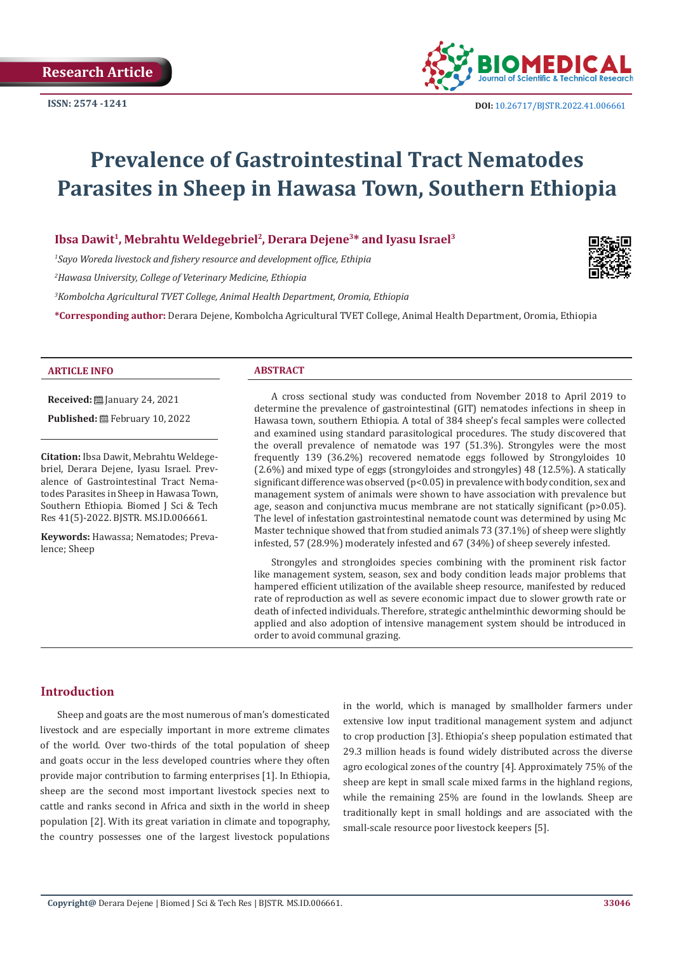

# **Prevalence of Gastrointestinal Tract Nematodes Parasites in Sheep in Hawasa Town, Southern Ethiopia**

Ibsa Dawit<sup>1</sup>, Mebrahtu Weldegebriel<sup>2</sup>, Derara Dejene<sup>3\*</sup> and Iyasu Israel<sup>3</sup>

*1 Sayo Woreda livestock and fishery resource and development office, Ethipia*

*2 Hawasa University, College of Veterinary Medicine, Ethiopia*

*3 Kombolcha Agricultural TVET College, Animal Health Department, Oromia, Ethiopia*

**\*Corresponding author:** Derara Dejene, Kombolcha Agricultural TVET College, Animal Health Department, Oromia, Ethiopia



#### **ARTICLE INFO ABSTRACT**

**Received: [**] January 24, 2021

Published: **■**February 10, 2022

**Citation:** Ibsa Dawit, Mebrahtu Weldegebriel, Derara Dejene, Iyasu Israel. Prevalence of Gastrointestinal Tract Nematodes Parasites in Sheep in Hawasa Town, Southern Ethiopia. Biomed J Sci & Tech Res 41(5)-2022. BJSTR. MS.ID.006661.

**Keywords:** Hawassa; Nematodes; Prevalence; Sheep

A cross sectional study was conducted from November 2018 to April 2019 to determine the prevalence of gastrointestinal (GIT) nematodes infections in sheep in Hawasa town, southern Ethiopia. A total of 384 sheep's fecal samples were collected and examined using standard parasitological procedures. The study discovered that the overall prevalence of nematode was 197 (51.3%). Strongyles were the most frequently 139 (36.2%) recovered nematode eggs followed by Strongyloides 10 (2.6%) and mixed type of eggs (strongyloides and strongyles) 48 (12.5%). A statically significant difference was observed (p<0.05) in prevalence with body condition, sex and management system of animals were shown to have association with prevalence but age, season and conjunctiva mucus membrane are not statically significant (p>0.05). The level of infestation gastrointestinal nematode count was determined by using Mc Master technique showed that from studied animals 73 (37.1%) of sheep were slightly infested, 57 (28.9%) moderately infested and 67 (34%) of sheep severely infested.

Strongyles and strongloides species combining with the prominent risk factor like management system, season, sex and body condition leads major problems that hampered efficient utilization of the available sheep resource, manifested by reduced rate of reproduction as well as severe economic impact due to slower growth rate or death of infected individuals. Therefore, strategic anthelminthic deworming should be applied and also adoption of intensive management system should be introduced in order to avoid communal grazing.

# **Introduction**

Sheep and goats are the most numerous of man's domesticated livestock and are especially important in more extreme climates of the world. Over two-thirds of the total population of sheep and goats occur in the less developed countries where they often provide major contribution to farming enterprises [1]. In Ethiopia, sheep are the second most important livestock species next to cattle and ranks second in Africa and sixth in the world in sheep population [2]. With its great variation in climate and topography, the country possesses one of the largest livestock populations

in the world, which is managed by smallholder farmers under extensive low input traditional management system and adjunct to crop production [3]. Ethiopia's sheep population estimated that 29.3 million heads is found widely distributed across the diverse agro ecological zones of the country [4]. Approximately 75% of the sheep are kept in small scale mixed farms in the highland regions, while the remaining 25% are found in the lowlands. Sheep are traditionally kept in small holdings and are associated with the small-scale resource poor livestock keepers [5].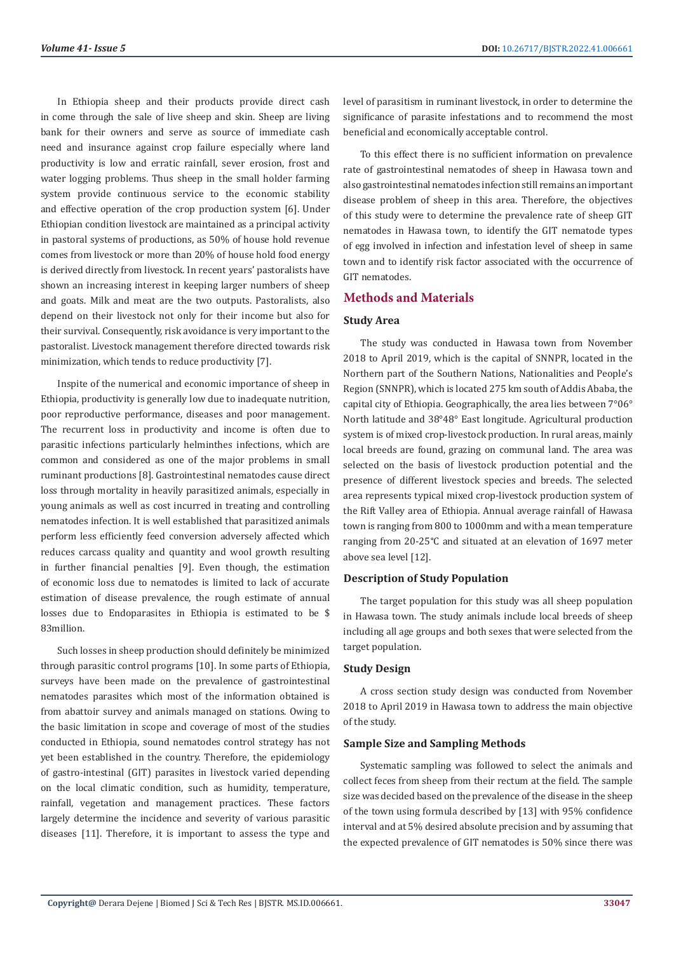In Ethiopia sheep and their products provide direct cash in come through the sale of live sheep and skin. Sheep are living bank for their owners and serve as source of immediate cash need and insurance against crop failure especially where land productivity is low and erratic rainfall, sever erosion, frost and water logging problems. Thus sheep in the small holder farming system provide continuous service to the economic stability and effective operation of the crop production system [6]. Under Ethiopian condition livestock are maintained as a principal activity in pastoral systems of productions, as 50% of house hold revenue comes from livestock or more than 20% of house hold food energy is derived directly from livestock. In recent years' pastoralists have shown an increasing interest in keeping larger numbers of sheep and goats. Milk and meat are the two outputs. Pastoralists, also depend on their livestock not only for their income but also for their survival. Consequently, risk avoidance is very important to the pastoralist. Livestock management therefore directed towards risk minimization, which tends to reduce productivity [7].

Inspite of the numerical and economic importance of sheep in Ethiopia, productivity is generally low due to inadequate nutrition, poor reproductive performance, diseases and poor management. The recurrent loss in productivity and income is often due to parasitic infections particularly helminthes infections, which are common and considered as one of the major problems in small ruminant productions [8]. Gastrointestinal nematodes cause direct loss through mortality in heavily parasitized animals, especially in young animals as well as cost incurred in treating and controlling nematodes infection. It is well established that parasitized animals perform less efficiently feed conversion adversely affected which reduces carcass quality and quantity and wool growth resulting in further financial penalties [9]. Even though, the estimation of economic loss due to nematodes is limited to lack of accurate estimation of disease prevalence, the rough estimate of annual losses due to Endoparasites in Ethiopia is estimated to be \$ 83million.

Such losses in sheep production should definitely be minimized through parasitic control programs [10]. In some parts of Ethiopia, surveys have been made on the prevalence of gastrointestinal nematodes parasites which most of the information obtained is from abattoir survey and animals managed on stations. Owing to the basic limitation in scope and coverage of most of the studies conducted in Ethiopia, sound nematodes control strategy has not yet been established in the country. Therefore, the epidemiology of gastro-intestinal (GIT) parasites in livestock varied depending on the local climatic condition, such as humidity, temperature, rainfall, vegetation and management practices. These factors largely determine the incidence and severity of various parasitic diseases [11]. Therefore, it is important to assess the type and

level of parasitism in ruminant livestock, in order to determine the significance of parasite infestations and to recommend the most beneficial and economically acceptable control.

To this effect there is no sufficient information on prevalence rate of gastrointestinal nematodes of sheep in Hawasa town and also gastrointestinal nematodes infection still remains an important disease problem of sheep in this area. Therefore, the objectives of this study were to determine the prevalence rate of sheep GIT nematodes in Hawasa town, to identify the GIT nematode types of egg involved in infection and infestation level of sheep in same town and to identify risk factor associated with the occurrence of GIT nematodes.

# **Methods and Materials**

# **Study Area**

The study was conducted in Hawasa town from November 2018 to April 2019, which is the capital of SNNPR, located in the Northern part of the Southern Nations, Nationalities and People's Region (SNNPR), which is located 275 km south of Addis Ababa, the capital city of Ethiopia. Geographically, the area lies between 7°06° North latitude and 38°48° East longitude. Agricultural production system is of mixed crop-livestock production. In rural areas, mainly local breeds are found, grazing on communal land. The area was selected on the basis of livestock production potential and the presence of different livestock species and breeds. The selected area represents typical mixed crop-livestock production system of the Rift Valley area of Ethiopia. Annual average rainfall of Hawasa town is ranging from 800 to 1000mm and with a mean temperature ranging from 20-25°C and situated at an elevation of 1697 meter above sea level [12].

# **Description of Study Population**

The target population for this study was all sheep population in Hawasa town. The study animals include local breeds of sheep including all age groups and both sexes that were selected from the target population.

# **Study Design**

A cross section study design was conducted from November 2018 to April 2019 in Hawasa town to address the main objective of the study.

# **Sample Size and Sampling Methods**

Systematic sampling was followed to select the animals and collect feces from sheep from their rectum at the field. The sample size was decided based on the prevalence of the disease in the sheep of the town using formula described by [13] with 95% confidence interval and at 5% desired absolute precision and by assuming that the expected prevalence of GIT nematodes is 50% since there was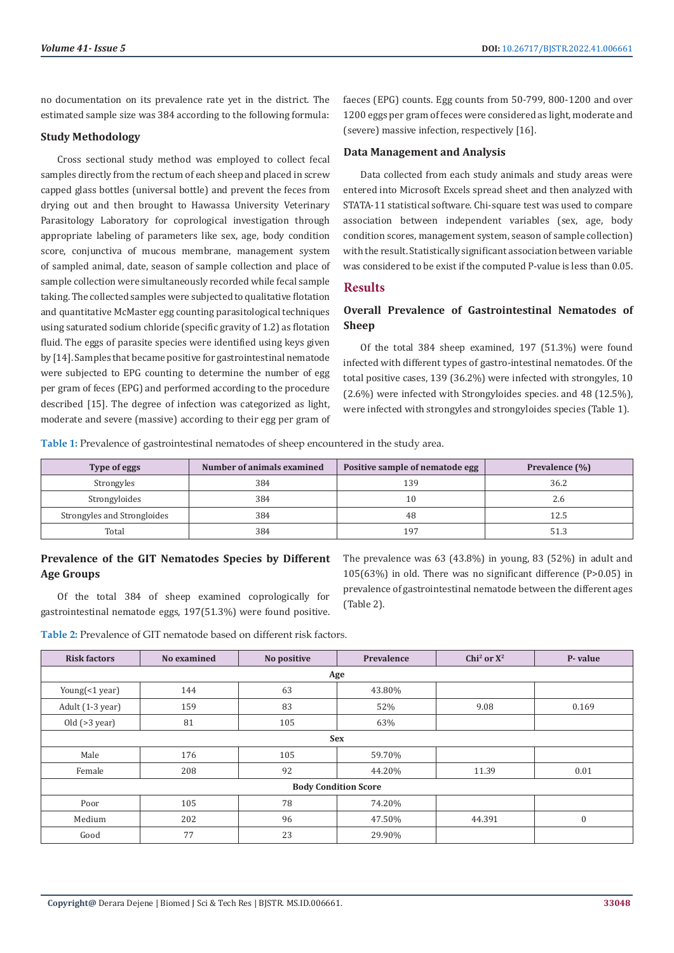no documentation on its prevalence rate yet in the district. The estimated sample size was 384 according to the following formula:

#### **Study Methodology**

Cross sectional study method was employed to collect fecal samples directly from the rectum of each sheep and placed in screw capped glass bottles (universal bottle) and prevent the feces from drying out and then brought to Hawassa University Veterinary Parasitology Laboratory for coprological investigation through appropriate labeling of parameters like sex, age, body condition score, conjunctiva of mucous membrane, management system of sampled animal, date, season of sample collection and place of sample collection were simultaneously recorded while fecal sample taking. The collected samples were subjected to qualitative flotation and quantitative McMaster egg counting parasitological techniques using saturated sodium chloride (specific gravity of 1.2) as flotation fluid. The eggs of parasite species were identified using keys given by [14]. Samples that became positive for gastrointestinal nematode were subjected to EPG counting to determine the number of egg per gram of feces (EPG) and performed according to the procedure described [15]. The degree of infection was categorized as light, moderate and severe (massive) according to their egg per gram of faeces (EPG) counts. Egg counts from 50-799, 800-1200 and over 1200 eggs per gram of feces were considered as light, moderate and (severe) massive infection, respectively [16].

#### **Data Management and Analysis**

Data collected from each study animals and study areas were entered into Microsoft Excels spread sheet and then analyzed with STATA-11 statistical software. Chi-square test was used to compare association between independent variables (sex, age, body condition scores, management system, season of sample collection) with the result. Statistically significant association between variable was considered to be exist if the computed P-value is less than 0.05.

# **Results**

# **Overall Prevalence of Gastrointestinal Nematodes of Sheep**

Of the total 384 sheep examined, 197 (51.3%) were found infected with different types of gastro-intestinal nematodes. Of the total positive cases, 139 (36.2%) were infected with strongyles, 10 (2.6%) were infected with Strongyloides species. and 48 (12.5%), were infected with strongyles and strongyloides species (Table 1).

**Table 1:** Prevalence of gastrointestinal nematodes of sheep encountered in the study area.

| Type of eggs                | Number of animals examined | Positive sample of nematode egg | Prevalence (%) |
|-----------------------------|----------------------------|---------------------------------|----------------|
| Strongyles                  | 384                        | 139                             | 36.2           |
| Strongyloides               | 384                        | 10                              | 2.6            |
| Strongyles and Strongloides | 384                        | 48                              | 12.5           |
| Total                       | 384                        | 197                             | 51.3           |

# **Prevalence of the GIT Nematodes Species by Different Age Groups**

Of the total 384 of sheep examined coprologically for gastrointestinal nematode eggs, 197(51.3%) were found positive. The prevalence was 63 (43.8%) in young, 83 (52%) in adult and 105(63%) in old. There was no significant difference (P>0.05) in prevalence of gastrointestinal nematode between the different ages (Table 2).

**Table 2:** Prevalence of GIT nematode based on different risk factors.

| <b>Risk factors</b>         | No examined | No positive | Prevalence | Chi <sup>2</sup> or $X^2$ | P-value      |
|-----------------------------|-------------|-------------|------------|---------------------------|--------------|
| Age                         |             |             |            |                           |              |
| Young(<1 year)              | 144         | 63          | 43.80%     |                           |              |
| Adult (1-3 year)            | 159         | 83          | 52%        | 9.08                      | 0.169        |
| Old (>3 year)               | 81          | 105         | 63%        |                           |              |
| <b>Sex</b>                  |             |             |            |                           |              |
| Male                        | 176         | 105         | 59.70%     |                           |              |
| Female                      | 208         | 92          | 44.20%     | 11.39                     | 0.01         |
| <b>Body Condition Score</b> |             |             |            |                           |              |
| Poor                        | 105         | 78          | 74.20%     |                           |              |
| Medium                      | 202         | 96          | 47.50%     | 44.391                    | $\mathbf{0}$ |
| Good                        | 77          | 23          | 29.90%     |                           |              |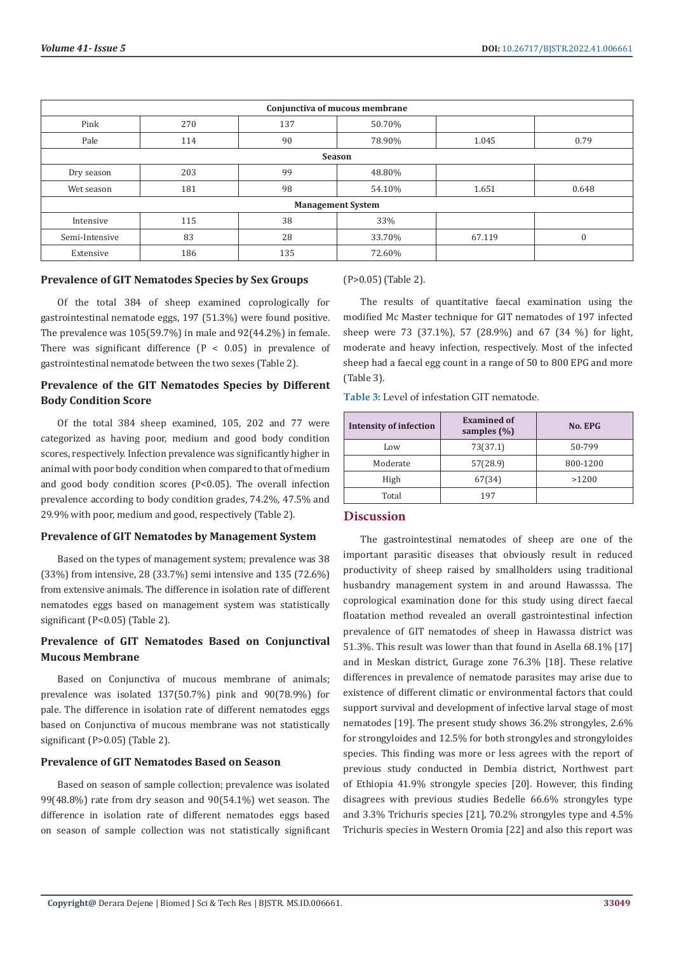| Conjunctiva of mucous membrane |     |     |        |        |          |
|--------------------------------|-----|-----|--------|--------|----------|
| Pink                           | 270 | 137 | 50.70% |        |          |
| Pale                           | 114 | 90  | 78.90% | 1.045  | 0.79     |
| <b>Season</b>                  |     |     |        |        |          |
| Dry season                     | 203 | 99  | 48.80% |        |          |
| Wet season                     | 181 | 98  | 54.10% | 1.651  | 0.648    |
| <b>Management System</b>       |     |     |        |        |          |
| Intensive                      | 115 | 38  | 33%    |        |          |
| Semi-Intensive                 | 83  | 28  | 33.70% | 67.119 | $\theta$ |
| Extensive                      | 186 | 135 | 72.60% |        |          |

# **Prevalence of GIT Nematodes Species by Sex Groups**

Of the total 384 of sheep examined coprologically for gastrointestinal nematode eggs, 197 (51.3%) were found positive. The prevalence was 105(59.7%) in male and 92(44.2%) in female. There was significant difference  $(P < 0.05)$  in prevalence of gastrointestinal nematode between the two sexes (Table 2).

# **Prevalence of the GIT Nematodes Species by Different Body Condition Score**

Of the total 384 sheep examined, 105, 202 and 77 were categorized as having poor, medium and good body condition scores, respectively. Infection prevalence was significantly higher in animal with poor body condition when compared to that of medium and good body condition scores (P<0.05). The overall infection prevalence according to body condition grades, 74.2%, 47.5% and 29.9% with poor, medium and good, respectively (Table 2).

# **Prevalence of GIT Nematodes by Management System**

Based on the types of management system; prevalence was 38 (33%) from intensive, 28 (33.7%) semi intensive and 135 (72.6%) from extensive animals. The difference in isolation rate of different nematodes eggs based on management system was statistically significant (P<0.05) (Table 2).

# **Prevalence of GIT Nematodes Based on Conjunctival Mucous Membrane**

Based on Conjunctiva of mucous membrane of animals; prevalence was isolated 137(50.7%) pink and 90(78.9%) for pale. The difference in isolation rate of different nematodes eggs based on Conjunctiva of mucous membrane was not statistically significant (P>0.05) (Table 2).

# **Prevalence of GIT Nematodes Based on Season**

Based on season of sample collection; prevalence was isolated 99(48.8%) rate from dry season and 90(54.1%) wet season. The difference in isolation rate of different nematodes eggs based on season of sample collection was not statistically significant (P>0.05) (Table 2).

The results of quantitative faecal examination using the modified Mc Master technique for GIT nematodes of 197 infected sheep were 73 (37.1%), 57 (28.9%) and 67 (34 %) for light, moderate and heavy infection, respectively. Most of the infected sheep had a faecal egg count in a range of 50 to 800 EPG and more (Table 3).

**Table 3:** Level of infestation GIT nematode.

| <b>Intensity of infection</b> | <b>Examined of</b><br>samples $(\% )$ | No. EPG  |
|-------------------------------|---------------------------------------|----------|
| Low                           | 73(37.1)                              | 50-799   |
| Moderate                      | 57(28.9)                              | 800-1200 |
| High                          | 67(34)                                | >1200    |
| Total                         | 197                                   |          |

# **Discussion**

The gastrointestinal nematodes of sheep are one of the important parasitic diseases that obviously result in reduced productivity of sheep raised by smallholders using traditional husbandry management system in and around Hawasssa. The coprological examination done for this study using direct faecal floatation method revealed an overall gastrointestinal infection prevalence of GIT nematodes of sheep in Hawassa district was 51.3%. This result was lower than that found in Asella 68.1% [17] and in Meskan district, Gurage zone 76.3% [18]. These relative differences in prevalence of nematode parasites may arise due to existence of different climatic or environmental factors that could support survival and development of infective larval stage of most nematodes [19]. The present study shows 36.2% strongyles, 2.6% for strongyloides and 12.5% for both strongyles and strongyloides species. This finding was more or less agrees with the report of previous study conducted in Dembia district, Northwest part of Ethiopia 41.9% strongyle species [20]. However, this finding disagrees with previous studies Bedelle 66.6% strongyles type and 3.3% Trichuris species [21], 70.2% strongyles type and 4.5% Trichuris species in Western Oromia [22] and also this report was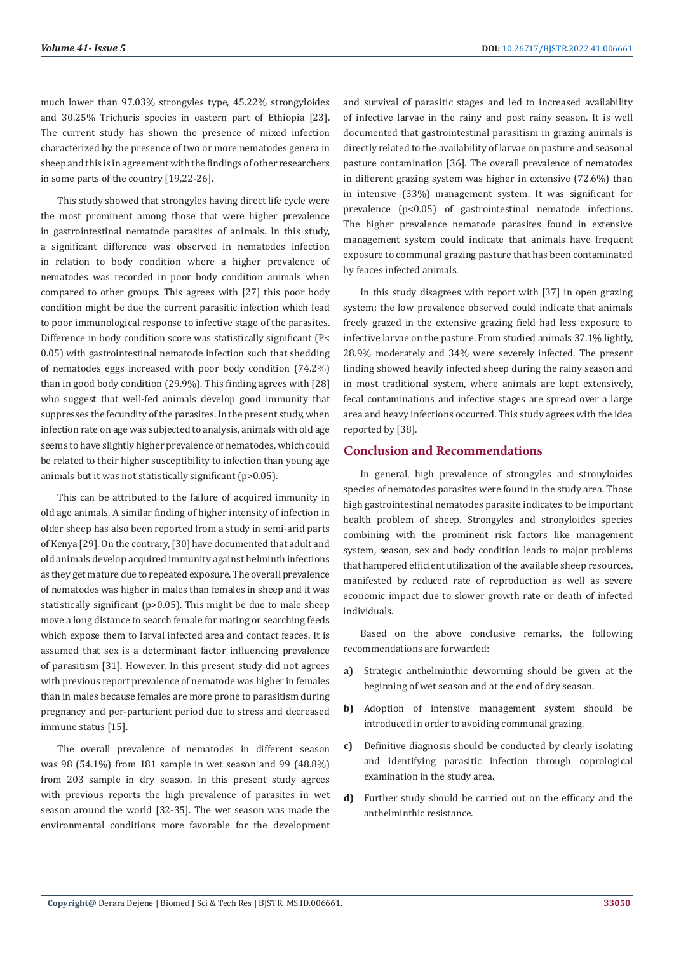much lower than 97.03% strongyles type, 45.22% strongyloides and 30.25% Trichuris species in eastern part of Ethiopia [23]. The current study has shown the presence of mixed infection characterized by the presence of two or more nematodes genera in sheep and this is in agreement with the findings of other researchers in some parts of the country [19,22-26].

This study showed that strongyles having direct life cycle were the most prominent among those that were higher prevalence in gastrointestinal nematode parasites of animals. In this study, a significant difference was observed in nematodes infection in relation to body condition where a higher prevalence of nematodes was recorded in poor body condition animals when compared to other groups. This agrees with [27] this poor body condition might be due the current parasitic infection which lead to poor immunological response to infective stage of the parasites. Difference in body condition score was statistically significant (P< 0.05) with gastrointestinal nematode infection such that shedding of nematodes eggs increased with poor body condition (74.2%) than in good body condition (29.9%). This finding agrees with [28] who suggest that well-fed animals develop good immunity that suppresses the fecundity of the parasites. In the present study, when infection rate on age was subjected to analysis, animals with old age seems to have slightly higher prevalence of nematodes, which could be related to their higher susceptibility to infection than young age animals but it was not statistically significant (p>0.05).

This can be attributed to the failure of acquired immunity in old age animals. A similar finding of higher intensity of infection in older sheep has also been reported from a study in semi-arid parts of Kenya [29]. On the contrary, [30] have documented that adult and old animals develop acquired immunity against helminth infections as they get mature due to repeated exposure. The overall prevalence of nematodes was higher in males than females in sheep and it was statistically significant (p>0.05). This might be due to male sheep move a long distance to search female for mating or searching feeds which expose them to larval infected area and contact feaces. It is assumed that sex is a determinant factor influencing prevalence of parasitism [31]. However, In this present study did not agrees with previous report prevalence of nematode was higher in females than in males because females are more prone to parasitism during pregnancy and per-parturient period due to stress and decreased immune status [15].

The overall prevalence of nematodes in different season was 98 (54.1%) from 181 sample in wet season and 99 (48.8%) from 203 sample in dry season. In this present study agrees with previous reports the high prevalence of parasites in wet season around the world [32-35]. The wet season was made the environmental conditions more favorable for the development and survival of parasitic stages and led to increased availability of infective larvae in the rainy and post rainy season. It is well documented that gastrointestinal parasitism in grazing animals is directly related to the availability of larvae on pasture and seasonal pasture contamination [36]. The overall prevalence of nematodes in different grazing system was higher in extensive (72.6%) than in intensive (33%) management system. It was significant for prevalence (p<0.05) of gastrointestinal nematode infections. The higher prevalence nematode parasites found in extensive management system could indicate that animals have frequent exposure to communal grazing pasture that has been contaminated by feaces infected animals.

In this study disagrees with report with [37] in open grazing system; the low prevalence observed could indicate that animals freely grazed in the extensive grazing field had less exposure to infective larvae on the pasture. From studied animals 37.1% lightly, 28.9% moderately and 34% were severely infected. The present finding showed heavily infected sheep during the rainy season and in most traditional system, where animals are kept extensively, fecal contaminations and infective stages are spread over a large area and heavy infections occurred. This study agrees with the idea reported by [38].

# **Conclusion and Recommendations**

In general, high prevalence of strongyles and stronyloides species of nematodes parasites were found in the study area. Those high gastrointestinal nematodes parasite indicates to be important health problem of sheep. Strongyles and stronyloides species combining with the prominent risk factors like management system, season, sex and body condition leads to major problems that hampered efficient utilization of the available sheep resources, manifested by reduced rate of reproduction as well as severe economic impact due to slower growth rate or death of infected individuals.

Based on the above conclusive remarks, the following recommendations are forwarded:

- **a)** Strategic anthelminthic deworming should be given at the beginning of wet season and at the end of dry season.
- **b)** Adoption of intensive management system should be introduced in order to avoiding communal grazing.
- **c)** Definitive diagnosis should be conducted by clearly isolating and identifying parasitic infection through coprological examination in the study area.
- **d)** Further study should be carried out on the efficacy and the anthelminthic resistance.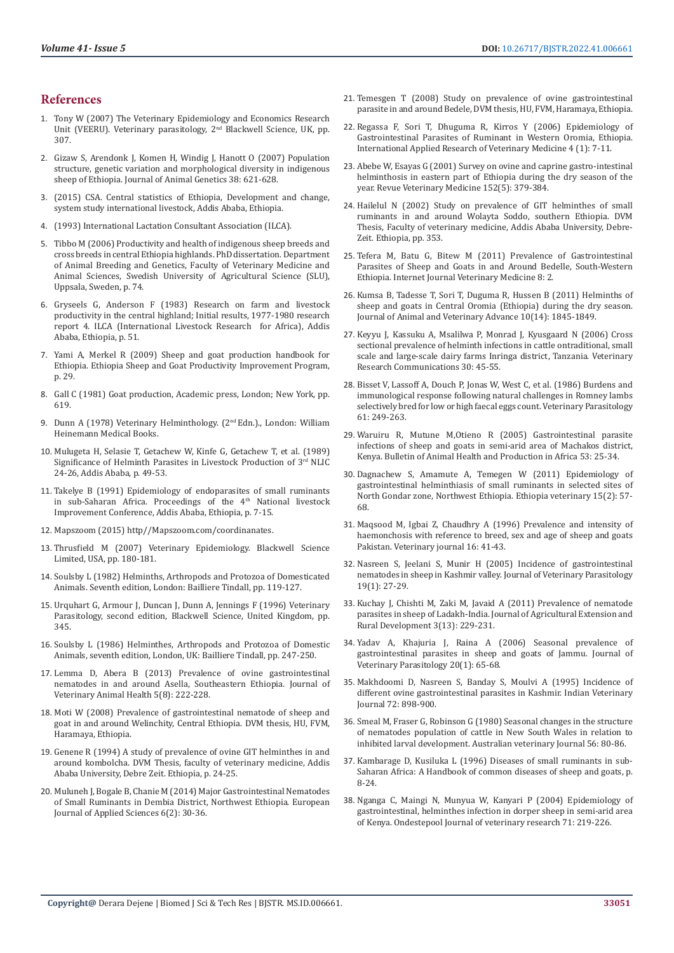#### **References**

- 1. Tony W (2007) The Veterinary Epidemiology and Economics Research Unit (VEERU). Veterinary parasitology, 2<sup>nd</sup> Blackwell Science, UK, pp. 307.
- 2. [Gizaw S, Arendonk J, Komen H, Windig J, Hanott O \(2007\) Population](https://pubmed.ncbi.nlm.nih.gov/18028516/)  [structure, genetic variation and morphological diversity in indigenous](https://pubmed.ncbi.nlm.nih.gov/18028516/)  [sheep of Ethiopia. Journal of Animal Genetics 38: 621-628.](https://pubmed.ncbi.nlm.nih.gov/18028516/)
- 3. (2015) CSA. Central statistics of Ethiopia, Development and change, system study international livestock, Addis Ababa, Ethiopia.
- 4. [\(1993\) International Lactation Consultant Association \(ILCA\).](https://ilca.org/)
- 5. [Tibbo M \(2006\) Productivity and health of indigenous sheep breeds and](https://pub.epsilon.slu.se/1142/1/Markos_Tibbo_corrected.pdf)  [cross breeds in central Ethiopia highlands. PhD dissertation. Department](https://pub.epsilon.slu.se/1142/1/Markos_Tibbo_corrected.pdf)  [of Animal Breeding and Genetics, Faculty of Veterinary Medicine and](https://pub.epsilon.slu.se/1142/1/Markos_Tibbo_corrected.pdf)  [Animal Sciences, Swedish University of Agricultural Science \(SLU\),](https://pub.epsilon.slu.se/1142/1/Markos_Tibbo_corrected.pdf)  [Uppsala, Sweden, p. 74.](https://pub.epsilon.slu.se/1142/1/Markos_Tibbo_corrected.pdf)
- 6. [Gryseels G, Anderson F \(1983\) Research on farm and livestock](https://cgspace.cgiar.org/handle/10568/4668)  [productivity in the central highland; Initial results, 1977-1980 research](https://cgspace.cgiar.org/handle/10568/4668)  [report 4. ILCA \(International Livestock Research for Africa\), Addis](https://cgspace.cgiar.org/handle/10568/4668)  [Ababa, Ethiopia, p. 51.](https://cgspace.cgiar.org/handle/10568/4668)
- 7. [Yami A, Merkel R \(2009\) Sheep and goat production handbook for](https://issuu.com/esgpip/docs/esgpip_sheep_and_goat_handbook)  [Ethiopia. Ethiopia Sheep and Goat Productivity Improvement Program,](https://issuu.com/esgpip/docs/esgpip_sheep_and_goat_handbook)  [p. 29.](https://issuu.com/esgpip/docs/esgpip_sheep_and_goat_handbook)
- 8. [Gall C \(1981\) Goat production, Academic press, London; New York, pp.](https://pdfslide.net/documents/goat-production-edited-by-c-gall-academic-press-londonnew-york-1981.html)  [619.](https://pdfslide.net/documents/goat-production-edited-by-c-gall-academic-press-londonnew-york-1981.html)
- 9. Dunn A (1978) Veterinary Helminthology. (2<sup>nd</sup> Edn.)., London: William Heinemann Medical Books.
- 10. Mulugeta H, Selasie T, Getachew W, Kinfe G, Getachew T, et al. (1989) Significance of Helminth Parasites in Livestock Production of 3rd NLIC 24-26, Addis Ababa, p. 49-53.
- 11. Takelye B (1991) Epidemiology of endoparasites of small ruminants in sub-Saharan Africa. Proceedings of the 4<sup>th</sup> National livestock Improvement Conference, Addis Ababa, Ethiopia, p. 7-15.
- 12. Mapszoom (2015) http//Mapszoom.com/coordinanates.
- 13. [Thrusfield M \(2007\) Veterinary Epidemiology. Blackwell Science](https://www.worldcat.org/title/veterinary-epidemiology/oclc/74968139)  [Limited, USA, pp. 180-181.](https://www.worldcat.org/title/veterinary-epidemiology/oclc/74968139)
- 14. [Soulsby L \(1982\) Helminths, Arthropods and Protozoa of Domesticated](https://www.worldcat.org/title/helminths-arthropods-and-protozoa-of-domesticated-animals/oclc/855675040)  [Animals. Seventh edition, London: Bailliere Tindall, pp. 119-127.](https://www.worldcat.org/title/helminths-arthropods-and-protozoa-of-domesticated-animals/oclc/855675040)
- 15. [Urquhart G, Armour J, Duncan J, Dunn A, Jennings F \(1996\) Veterinary](https://www.powells.com/book/veterinary-parasitology-2nd-edition-9780632040513)  [Parasitology, second edition, Blackwell Science, United Kingdom, pp.](https://www.powells.com/book/veterinary-parasitology-2nd-edition-9780632040513)  [345.](https://www.powells.com/book/veterinary-parasitology-2nd-edition-9780632040513)
- 16. Soulsby L (1986) Helminthes, Arthropods and Protozoa of Domestic Animals, seventh edition, London, UK: Bailliere Tindall, pp. 247-250.
- 17. Lemma D, Abera B (2013) Prevalence of ovine gastrointestinal nematodes in and around Asella, Southeastern Ethiopia. Journal of Veterinary Animal Health 5(8): 222-228.
- 18. Moti W (2008) Prevalence of gastrointestinal nematode of sheep and goat in and around Welinchity, Central Ethiopia. DVM thesis, HU, FVM, Haramaya, Ethiopia.
- 19. Genene R (1994) A study of prevalence of ovine GIT helminthes in and around kombolcha. DVM Thesis, faculty of veterinary medicine, Addis Ababa University, Debre Zeit. Ethiopia, p. 24-25.
- 20. Muluneh J, Bogale B, Chanie M (2014) Major Gastrointestinal Nematodes of Small Ruminants in Dembia District, Northwest Ethiopia. European Journal of Applied Sciences 6(2): 30-36.
- 21. Temesgen T (2008) Study on prevalence of ovine gastrointestinal parasite in and around Bedele, DVM thesis, HU, FVM, Haramaya, Ethiopia.
- 22. [Regassa F, Sori T, Dhuguma R, Kirros Y \(2006\) Epidemiology of](http://www.jarvm.com/articles/Vol4Iss1/Vol4Iss1RegassaV4N1pp51-57.pdf) [Gastrointestinal Parasites of Ruminant in Western Oromia, Ethiopia.](http://www.jarvm.com/articles/Vol4Iss1/Vol4Iss1RegassaV4N1pp51-57.pdf) [International Applied Research of Veterinary Medicine 4 \(1\): 7-11.](http://www.jarvm.com/articles/Vol4Iss1/Vol4Iss1RegassaV4N1pp51-57.pdf)
- 23. [Abebe W, Esayas G \(2001\) Survey on ovine and caprine gastro-intestinal](https://agris.fao.org/agris-search/search.do?recordID=FR2001002446) [helminthosis in eastern part of Ethiopia during the dry season of the](https://agris.fao.org/agris-search/search.do?recordID=FR2001002446) [year. Revue Veterinary Medicine 152\(5\): 379-384.](https://agris.fao.org/agris-search/search.do?recordID=FR2001002446)
- 24. Hailelul N (2002) Study on prevalence of GIT helminthes of small ruminants in and around Wolayta Soddo, southern Ethiopia. DVM Thesis, Faculty of veterinary medicine, Addis Ababa University, Debre-Zeit. Ethiopia, pp. 353.
- 25. [Tefera M, Batu G, Bitew M \(2011\) Prevalence of Gastrointestinal](https://ispub.com/IJVM/8/2/8065) [Parasites of Sheep and Goats in and Around Bedelle, South-Western](https://ispub.com/IJVM/8/2/8065) [Ethiopia. Internet Journal Veterinary Medicine 8: 2.](https://ispub.com/IJVM/8/2/8065)
- 26. [Kumsa B, Tadesse T, Sori T, Duguma R, Hussen B \(2011\) Helminths of](http://www.medwelljournals.com/abstract/?doi=javaa.2011.1845.1849) [sheep and goats in Central Oromia \(Ethiopia\) during the dry season.](http://www.medwelljournals.com/abstract/?doi=javaa.2011.1845.1849) [Journal of Animal and Veterinary Advance 10\(14\): 1845-1849.](http://www.medwelljournals.com/abstract/?doi=javaa.2011.1845.1849)
- 27. [Keyyu J, Kassuku A, Msalilwa P, Monrad J, Kyusgaard N \(2006\) Cross](https://pubmed.ncbi.nlm.nih.gov/16362610/) [sectional prevalence of helminth infections in cattle ontraditional, small](https://pubmed.ncbi.nlm.nih.gov/16362610/) [scale and large-scale dairy farms Inringa district, Tanzania. Veterinary](https://pubmed.ncbi.nlm.nih.gov/16362610/) [Research Communications 30: 45-55.](https://pubmed.ncbi.nlm.nih.gov/16362610/)
- 28. Bisset V, Lassoff A, Douch P, Jonas W, West C, et al. (1986) Burdens and immunological response following natural challenges in Romney lambs selectively bred for low or high faecal eggs count. Veterinary Parasitology 61: 249-263.
- 29. [Waruiru R, Mutune M,Otieno R \(2005\) Gastrointestinal parasite](https://www.ajol.info/index.php/bahpa/article/view/32686) [infections of sheep and goats in semi-arid area of Machakos district,](https://www.ajol.info/index.php/bahpa/article/view/32686) [Kenya. Bulletin of Animal Health and Production in Africa 53: 25-34.](https://www.ajol.info/index.php/bahpa/article/view/32686)
- 30. [Dagnachew S, Amamute A, Temegen W \(2011\) Epidemiology of](https://www.ajol.info/index.php/evj/article/view/67694) [gastrointestinal helminthiasis of small ruminants in selected sites of](https://www.ajol.info/index.php/evj/article/view/67694) [North Gondar zone, Northwest Ethiopia. Ethiopia veterinary 15\(2\): 57-](https://www.ajol.info/index.php/evj/article/view/67694) [68.](https://www.ajol.info/index.php/evj/article/view/67694)
- 31. [Maqsood M, Igbai Z, Chaudhry A \(1996\) Prevalence and intensity of](https://www.hindawi.com/journals/jvm/2018/3602081/) [haemonchosis with reference to breed, sex and age of sheep and goats](https://www.hindawi.com/journals/jvm/2018/3602081/) [Pakistan. Veterinary journal 16: 41-43.](https://www.hindawi.com/journals/jvm/2018/3602081/)
- 32. [Nasreen S, Jeelani S, Munir H \(2005\) Incidence of gastrointestinal](https://pubmed.ncbi.nlm.nih.gov/6891858/) [nematodes in sheep in Kashmir valley. Journal of Veterinary Parasitology](https://pubmed.ncbi.nlm.nih.gov/6891858/) [19\(1\): 27-29.](https://pubmed.ncbi.nlm.nih.gov/6891858/)
- 33. [Kuchay J, Chishti M, Zaki M, Javaid A \(2011\) Prevalence of nematode](https://citeseerx.ist.psu.edu/viewdoc/download?doi=10.1.1.854.3275&rep=rep1&type=pdf) [parasites in sheep of Ladakh-India. Journal of Agricultural Extension and](https://citeseerx.ist.psu.edu/viewdoc/download?doi=10.1.1.854.3275&rep=rep1&type=pdf) [Rural Development 3\(13\): 229-231.](https://citeseerx.ist.psu.edu/viewdoc/download?doi=10.1.1.854.3275&rep=rep1&type=pdf)
- 34. [Yadav A, Khajuria J, Raina A \(2006\) Seasonal prevalence of](https://www.ncbi.nlm.nih.gov/pmc/articles/PMC3590375/) [gastrointestinal parasites in sheep and goats of Jammu. Journal of](https://www.ncbi.nlm.nih.gov/pmc/articles/PMC3590375/) [Veterinary Parasitology 20\(1\): 65-68.](https://www.ncbi.nlm.nih.gov/pmc/articles/PMC3590375/)
- 35. Makhdoomi D, Nasreen S, Banday S, Moulvi A (1995) Incidence of different ovine gastrointestinal parasites in Kashmir. Indian Veterinary Journal 72: 898-900.
- 36. [Smeal M, Fraser G, Robinson G \(1980\) Seasonal changes in the structure](https://pubmed.ncbi.nlm.nih.gov/7436895/) [of nematodes population of cattle in New South Wales in relation to](https://pubmed.ncbi.nlm.nih.gov/7436895/) [inhibited larval development. Australian veterinary Journal 56: 80-86.](https://pubmed.ncbi.nlm.nih.gov/7436895/)
- 37. [Kambarage D, Kusiluka L \(1996\) Diseases of small ruminants in sub-](https://assets.publishing.service.gov.uk/media/57a08dbfed915d3cfd001bba/R5499-Diseases-of-Small-Ruminants.pdf)[Saharan Africa: A Handbook of common diseases of sheep and goats, p.](https://assets.publishing.service.gov.uk/media/57a08dbfed915d3cfd001bba/R5499-Diseases-of-Small-Ruminants.pdf) [8-24.](https://assets.publishing.service.gov.uk/media/57a08dbfed915d3cfd001bba/R5499-Diseases-of-Small-Ruminants.pdf)
- 38. [Nganga C, Maingi N, Munyua W, Kanyari P \(2004\) Epidemiology of](https://pubmed.ncbi.nlm.nih.gov/15580771/) [gastrointestinal, helminthes infection in dorper sheep in semi-arid area](https://pubmed.ncbi.nlm.nih.gov/15580771/) [of Kenya. Ondestepool Journal of veterinary research 71: 219-226.](https://pubmed.ncbi.nlm.nih.gov/15580771/)